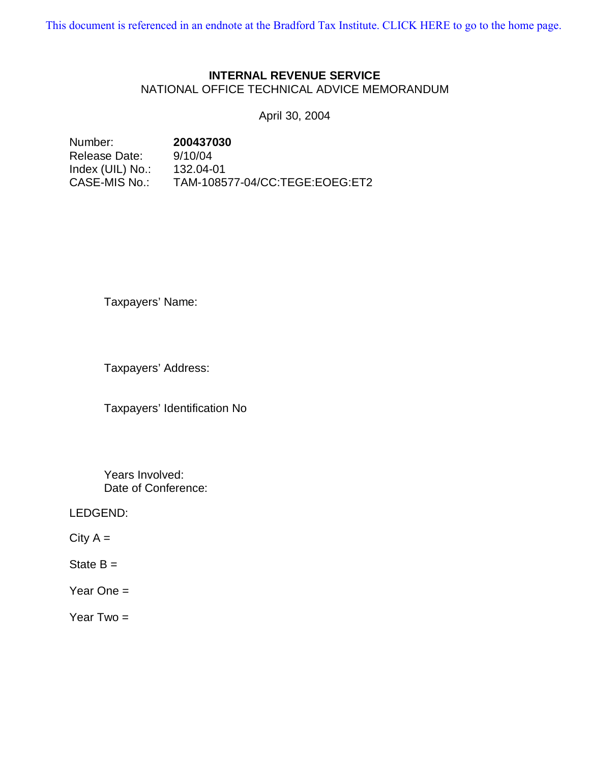[This document is referenced in an endnote at the Bradford Tax Institute. CLICK HERE to go to the home page.](www.bradfordtaxinstitute.com)

# **INTERNAL REVENUE SERVICE**

NATIONAL OFFICE TECHNICAL ADVICE MEMORANDUM

April 30, 2004

Number: **200437030**  Release Date: 9/10/04 Index (UIL) No.: 132.04-01 CASE-MIS No.: TAM-108577-04/CC:TEGE:EOEG:ET2

Taxpayers' Name:

Taxpayers' Address:

Taxpayers' Identification No

Years Involved: Date of Conference:

LEDGEND:

 $City A =$ 

State  $B =$ 

Year One  $=$ 

Year  $Two =$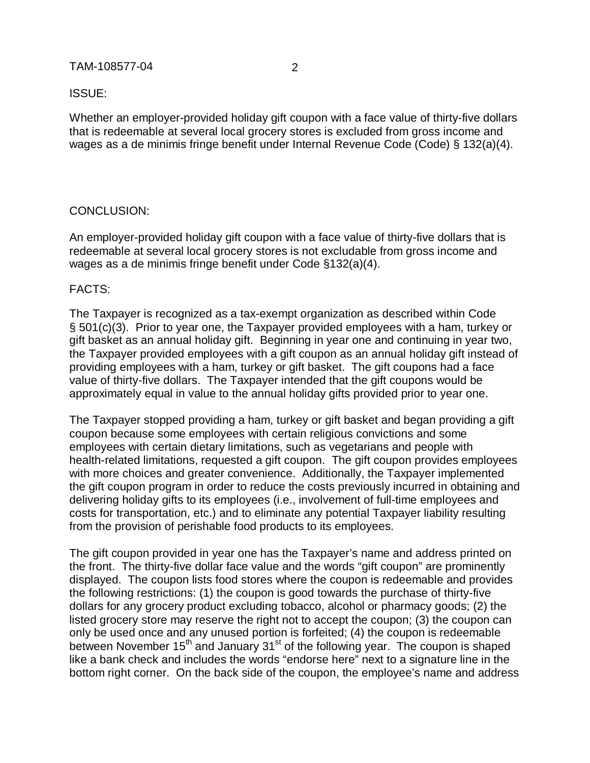### TAM-108577-04 2

#### ISSUE:

Whether an employer-provided holiday gift coupon with a face value of thirty-five dollars that is redeemable at several local grocery stores is excluded from gross income and wages as a de minimis fringe benefit under Internal Revenue Code (Code) § 132(a)(4).

# CONCLUSION:

An employer-provided holiday gift coupon with a face value of thirty-five dollars that is redeemable at several local grocery stores is not excludable from gross income and wages as a de minimis fringe benefit under Code §132(a)(4).

# FACTS:

The Taxpayer is recognized as a tax-exempt organization as described within Code § 501(c)(3). Prior to year one, the Taxpayer provided employees with a ham, turkey or gift basket as an annual holiday gift. Beginning in year one and continuing in year two, the Taxpayer provided employees with a gift coupon as an annual holiday gift instead of providing employees with a ham, turkey or gift basket. The gift coupons had a face value of thirty-five dollars. The Taxpayer intended that the gift coupons would be approximately equal in value to the annual holiday gifts provided prior to year one.

The Taxpayer stopped providing a ham, turkey or gift basket and began providing a gift coupon because some employees with certain religious convictions and some employees with certain dietary limitations, such as vegetarians and people with health-related limitations, requested a gift coupon. The gift coupon provides employees with more choices and greater convenience. Additionally, the Taxpayer implemented the gift coupon program in order to reduce the costs previously incurred in obtaining and delivering holiday gifts to its employees (i.e., involvement of full-time employees and costs for transportation, etc.) and to eliminate any potential Taxpayer liability resulting from the provision of perishable food products to its employees.

The gift coupon provided in year one has the Taxpayer's name and address printed on the front. The thirty-five dollar face value and the words "gift coupon" are prominently displayed. The coupon lists food stores where the coupon is redeemable and provides the following restrictions: (1) the coupon is good towards the purchase of thirty-five dollars for any grocery product excluding tobacco, alcohol or pharmacy goods; (2) the listed grocery store may reserve the right not to accept the coupon; (3) the coupon can only be used once and any unused portion is forfeited; (4) the coupon is redeemable between November  $15<sup>th</sup>$  and January  $31<sup>st</sup>$  of the following year. The coupon is shaped like a bank check and includes the words "endorse here" next to a signature line in the bottom right corner. On the back side of the coupon, the employee's name and address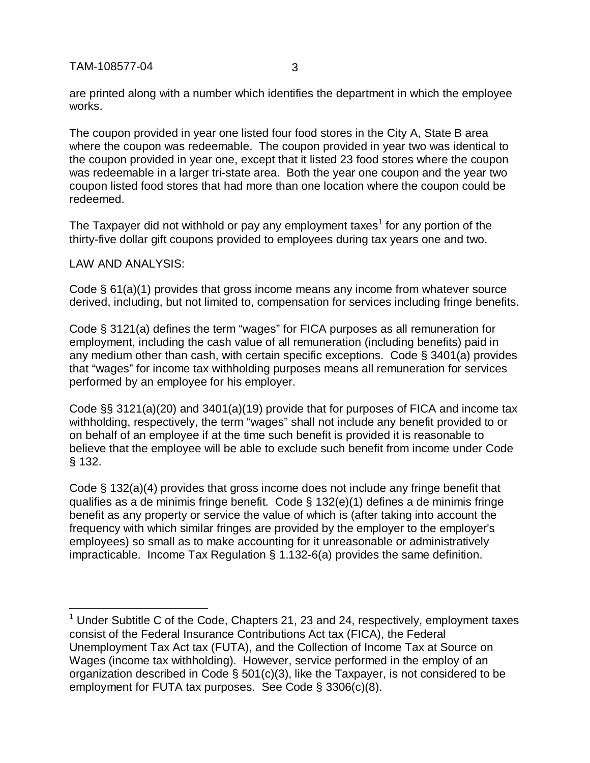TAM-108577-04 3

are printed along with a number which identifies the department in which the employee works.

The coupon provided in year one listed four food stores in the City A, State B area where the coupon was redeemable. The coupon provided in year two was identical to the coupon provided in year one, except that it listed 23 food stores where the coupon was redeemable in a larger tri-state area. Both the year one coupon and the year two coupon listed food stores that had more than one location where the coupon could be redeemed.

The Taxpayer did not withhold or pay any employment taxes<sup>1</sup> for any portion of the thirty-five dollar gift coupons provided to employees during tax years one and two.

LAW AND ANALYSIS:

Code § 61(a)(1) provides that gross income means any income from whatever source derived, including, but not limited to, compensation for services including fringe benefits.

Code § 3121(a) defines the term "wages" for FICA purposes as all remuneration for employment, including the cash value of all remuneration (including benefits) paid in any medium other than cash, with certain specific exceptions. Code § 3401(a) provides that "wages" for income tax withholding purposes means all remuneration for services performed by an employee for his employer.

Code §§ 3121(a)(20) and 3401(a)(19) provide that for purposes of FICA and income tax withholding, respectively, the term "wages" shall not include any benefit provided to or on behalf of an employee if at the time such benefit is provided it is reasonable to believe that the employee will be able to exclude such benefit from income under Code § 132.

Code § 132(a)(4) provides that gross income does not include any fringe benefit that qualifies as a de minimis fringe benefit. Code § 132(e)(1) defines a de minimis fringe benefit as any property or service the value of which is (after taking into account the frequency with which similar fringes are provided by the employer to the employer's employees) so small as to make accounting for it unreasonable or administratively impracticable. Income Tax Regulation § 1.132-6(a) provides the same definition.

 1 Under Subtitle C of the Code, Chapters 21, 23 and 24, respectively, employment taxes consist of the Federal Insurance Contributions Act tax (FICA), the Federal Unemployment Tax Act tax (FUTA), and the Collection of Income Tax at Source on Wages (income tax withholding). However, service performed in the employ of an organization described in Code § 501(c)(3), like the Taxpayer, is not considered to be employment for FUTA tax purposes. See Code § 3306(c)(8).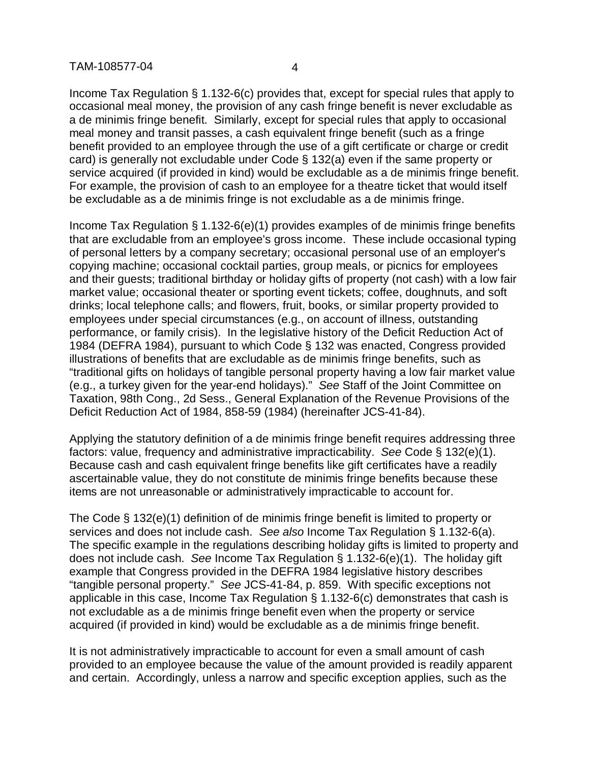Income Tax Regulation § 1.132-6(c) provides that, except for special rules that apply to occasional meal money, the provision of any cash fringe benefit is never excludable as a de minimis fringe benefit. Similarly, except for special rules that apply to occasional meal money and transit passes, a cash equivalent fringe benefit (such as a fringe benefit provided to an employee through the use of a gift certificate or charge or credit card) is generally not excludable under Code § 132(a) even if the same property or service acquired (if provided in kind) would be excludable as a de minimis fringe benefit. For example, the provision of cash to an employee for a theatre ticket that would itself be excludable as a de minimis fringe is not excludable as a de minimis fringe.

Income Tax Regulation § 1.132-6(e)(1) provides examples of de minimis fringe benefits that are excludable from an employee's gross income. These include occasional typing of personal letters by a company secretary; occasional personal use of an employer's copying machine; occasional cocktail parties, group meals, or picnics for employees and their guests; traditional birthday or holiday gifts of property (not cash) with a low fair market value; occasional theater or sporting event tickets; coffee, doughnuts, and soft drinks; local telephone calls; and flowers, fruit, books, or similar property provided to employees under special circumstances (e.g., on account of illness, outstanding performance, or family crisis). In the legislative history of the Deficit Reduction Act of 1984 (DEFRA 1984), pursuant to which Code § 132 was enacted, Congress provided illustrations of benefits that are excludable as de minimis fringe benefits, such as "traditional gifts on holidays of tangible personal property having a low fair market value (e.g., a turkey given for the year-end holidays)." *See* Staff of the Joint Committee on Taxation, 98th Cong., 2d Sess., General Explanation of the Revenue Provisions of the Deficit Reduction Act of 1984, 858-59 (1984) (hereinafter JCS-41-84).

Applying the statutory definition of a de minimis fringe benefit requires addressing three factors: value, frequency and administrative impracticability. *See* Code § 132(e)(1). Because cash and cash equivalent fringe benefits like gift certificates have a readily ascertainable value, they do not constitute de minimis fringe benefits because these items are not unreasonable or administratively impracticable to account for.

The Code § 132(e)(1) definition of de minimis fringe benefit is limited to property or services and does not include cash. *See also* Income Tax Regulation § 1.132-6(a). The specific example in the regulations describing holiday gifts is limited to property and does not include cash. *See* Income Tax Regulation § 1.132-6(e)(1). The holiday gift example that Congress provided in the DEFRA 1984 legislative history describes "tangible personal property." *See* JCS-41-84, p. 859. With specific exceptions not applicable in this case, Income Tax Regulation § 1.132-6(c) demonstrates that cash is not excludable as a de minimis fringe benefit even when the property or service acquired (if provided in kind) would be excludable as a de minimis fringe benefit.

It is not administratively impracticable to account for even a small amount of cash provided to an employee because the value of the amount provided is readily apparent and certain. Accordingly, unless a narrow and specific exception applies, such as the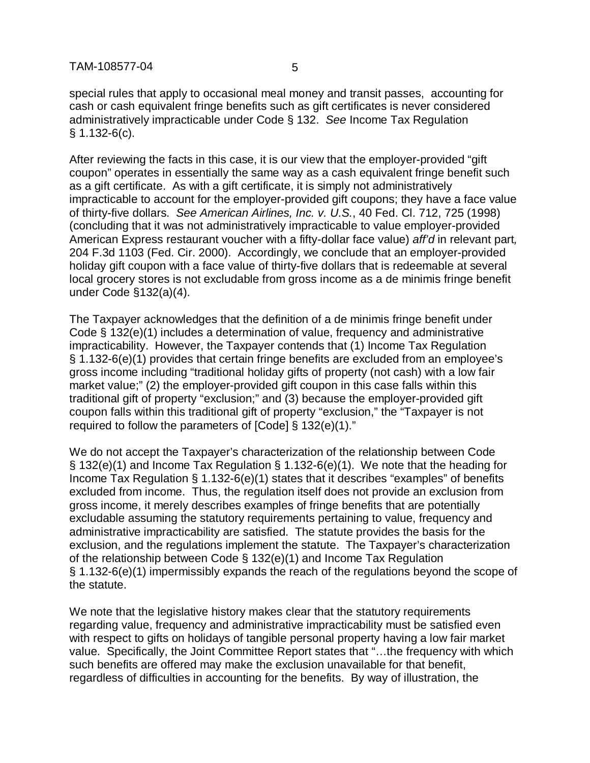special rules that apply to occasional meal money and transit passes, accounting for cash or cash equivalent fringe benefits such as gift certificates is never considered administratively impracticable under Code § 132. *See* Income Tax Regulation § 1.132-6(c).

After reviewing the facts in this case, it is our view that the employer-provided "gift coupon" operates in essentially the same way as a cash equivalent fringe benefit such as a gift certificate. As with a gift certificate, it is simply not administratively impracticable to account for the employer-provided gift coupons; they have a face value of thirty-five dollars. *See American Airlines, Inc. v. U.S.*, 40 Fed. Cl. 712, 725 (1998) (concluding that it was not administratively impracticable to value employer-provided American Express restaurant voucher with a fifty-dollar face value) *aff'd* in relevant part*,*  204 F.3d 1103 (Fed. Cir. 2000). Accordingly, we conclude that an employer-provided holiday gift coupon with a face value of thirty-five dollars that is redeemable at several local grocery stores is not excludable from gross income as a de minimis fringe benefit under Code §132(a)(4).

The Taxpayer acknowledges that the definition of a de minimis fringe benefit under Code § 132(e)(1) includes a determination of value, frequency and administrative impracticability. However, the Taxpayer contends that (1) Income Tax Regulation § 1.132-6(e)(1) provides that certain fringe benefits are excluded from an employee's gross income including "traditional holiday gifts of property (not cash) with a low fair market value;" (2) the employer-provided gift coupon in this case falls within this traditional gift of property "exclusion;" and (3) because the employer-provided gift coupon falls within this traditional gift of property "exclusion," the "Taxpayer is not required to follow the parameters of [Code] § 132(e)(1)."

We do not accept the Taxpayer's characterization of the relationship between Code § 132(e)(1) and Income Tax Regulation § 1.132-6(e)(1). We note that the heading for Income Tax Regulation § 1.132-6(e)(1) states that it describes "examples" of benefits excluded from income. Thus, the regulation itself does not provide an exclusion from gross income, it merely describes examples of fringe benefits that are potentially excludable assuming the statutory requirements pertaining to value, frequency and administrative impracticability are satisfied. The statute provides the basis for the exclusion, and the regulations implement the statute. The Taxpayer's characterization of the relationship between Code § 132(e)(1) and Income Tax Regulation § 1.132-6(e)(1) impermissibly expands the reach of the regulations beyond the scope of the statute.

We note that the legislative history makes clear that the statutory requirements regarding value, frequency and administrative impracticability must be satisfied even with respect to gifts on holidays of tangible personal property having a low fair market value. Specifically, the Joint Committee Report states that "…the frequency with which such benefits are offered may make the exclusion unavailable for that benefit, regardless of difficulties in accounting for the benefits. By way of illustration, the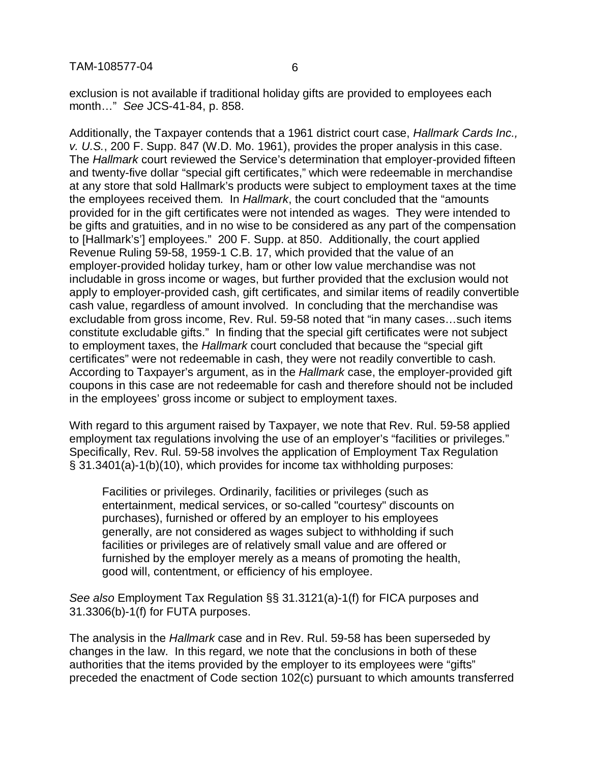exclusion is not available if traditional holiday gifts are provided to employees each month…" *See* JCS-41-84, p. 858.

Additionally, the Taxpayer contends that a 1961 district court case, *Hallmark Cards Inc., v. U.S.*, 200 F. Supp. 847 (W.D. Mo. 1961), provides the proper analysis in this case. The *Hallmark* court reviewed the Service's determination that employer-provided fifteen and twenty-five dollar "special gift certificates," which were redeemable in merchandise at any store that sold Hallmark's products were subject to employment taxes at the time the employees received them. In *Hallmark*, the court concluded that the "amounts provided for in the gift certificates were not intended as wages. They were intended to be gifts and gratuities, and in no wise to be considered as any part of the compensation to [Hallmark's'] employees." 200 F. Supp. at 850. Additionally, the court applied Revenue Ruling 59-58, 1959-1 C.B. 17, which provided that the value of an employer-provided holiday turkey, ham or other low value merchandise was not includable in gross income or wages, but further provided that the exclusion would not apply to employer-provided cash, gift certificates, and similar items of readily convertible cash value, regardless of amount involved. In concluding that the merchandise was excludable from gross income, Rev. Rul. 59-58 noted that "in many cases…such items constitute excludable gifts." In finding that the special gift certificates were not subject to employment taxes, the *Hallmark* court concluded that because the "special gift certificates" were not redeemable in cash, they were not readily convertible to cash. According to Taxpayer's argument, as in the *Hallmark* case, the employer-provided gift coupons in this case are not redeemable for cash and therefore should not be included in the employees' gross income or subject to employment taxes.

With regard to this argument raised by Taxpayer, we note that Rev. Rul. 59-58 applied employment tax regulations involving the use of an employer's "facilities or privileges." Specifically, Rev. Rul. 59-58 involves the application of Employment Tax Regulation § 31.3401(a)-1(b)(10), which provides for income tax withholding purposes:

Facilities or privileges. Ordinarily, facilities or privileges (such as entertainment, medical services, or so-called "courtesy" discounts on purchases), furnished or offered by an employer to his employees generally, are not considered as wages subject to withholding if such facilities or privileges are of relatively small value and are offered or furnished by the employer merely as a means of promoting the health, good will, contentment, or efficiency of his employee.

*See also* Employment Tax Regulation §§ 31.3121(a)-1(f) for FICA purposes and 31.3306(b)-1(f) for FUTA purposes.

The analysis in the *Hallmark* case and in Rev. Rul. 59-58 has been superseded by changes in the law. In this regard, we note that the conclusions in both of these authorities that the items provided by the employer to its employees were "gifts" preceded the enactment of Code section 102(c) pursuant to which amounts transferred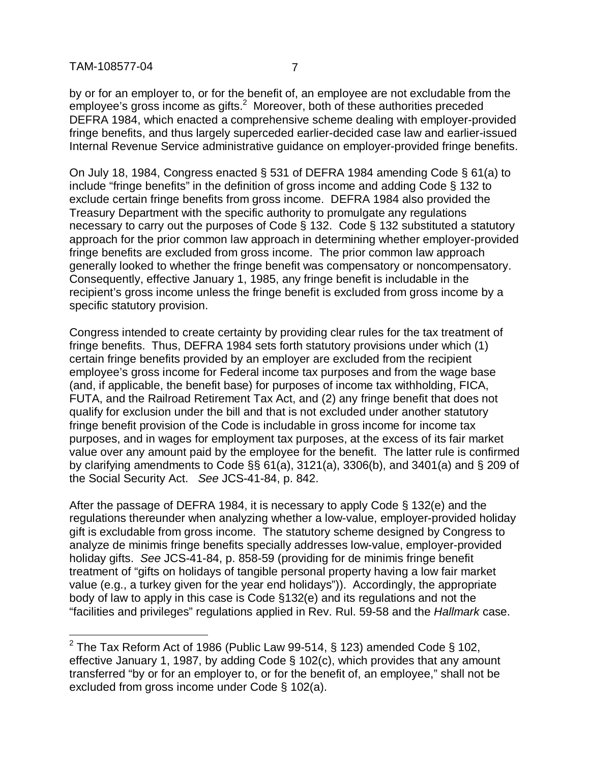# TAM-108577-04 7

-

by or for an employer to, or for the benefit of, an employee are not excludable from the  $employee$ 's gross income as gifts. $^2$  Moreover, both of these authorities preceded DEFRA 1984, which enacted a comprehensive scheme dealing with employer-provided fringe benefits, and thus largely superceded earlier-decided case law and earlier-issued Internal Revenue Service administrative guidance on employer-provided fringe benefits.

On July 18, 1984, Congress enacted § 531 of DEFRA 1984 amending Code § 61(a) to include "fringe benefits" in the definition of gross income and adding Code § 132 to exclude certain fringe benefits from gross income. DEFRA 1984 also provided the Treasury Department with the specific authority to promulgate any regulations necessary to carry out the purposes of Code § 132. Code § 132 substituted a statutory approach for the prior common law approach in determining whether employer-provided fringe benefits are excluded from gross income. The prior common law approach generally looked to whether the fringe benefit was compensatory or noncompensatory. Consequently, effective January 1, 1985, any fringe benefit is includable in the recipient's gross income unless the fringe benefit is excluded from gross income by a specific statutory provision.

Congress intended to create certainty by providing clear rules for the tax treatment of fringe benefits. Thus, DEFRA 1984 sets forth statutory provisions under which (1) certain fringe benefits provided by an employer are excluded from the recipient employee's gross income for Federal income tax purposes and from the wage base (and, if applicable, the benefit base) for purposes of income tax withholding, FICA, FUTA, and the Railroad Retirement Tax Act, and (2) any fringe benefit that does not qualify for exclusion under the bill and that is not excluded under another statutory fringe benefit provision of the Code is includable in gross income for income tax purposes, and in wages for employment tax purposes, at the excess of its fair market value over any amount paid by the employee for the benefit. The latter rule is confirmed by clarifying amendments to Code §§ 61(a), 3121(a), 3306(b), and 3401(a) and § 209 of the Social Security Act. *See* JCS-41-84, p. 842.

After the passage of DEFRA 1984, it is necessary to apply Code § 132(e) and the regulations thereunder when analyzing whether a low-value, employer-provided holiday gift is excludable from gross income. The statutory scheme designed by Congress to analyze de minimis fringe benefits specially addresses low-value, employer-provided holiday gifts. *See* JCS-41-84, p. 858-59 (providing for de minimis fringe benefit treatment of "gifts on holidays of tangible personal property having a low fair market value (e.g., a turkey given for the year end holidays")). Accordingly, the appropriate body of law to apply in this case is Code §132(e) and its regulations and not the "facilities and privileges" regulations applied in Rev. Rul. 59-58 and the *Hallmark* case.

<sup>&</sup>lt;sup>2</sup> The Tax Reform Act of 1986 (Public Law 99-514, § 123) amended Code § 102, effective January 1, 1987, by adding Code § 102(c), which provides that any amount transferred "by or for an employer to, or for the benefit of, an employee," shall not be excluded from gross income under Code § 102(a).